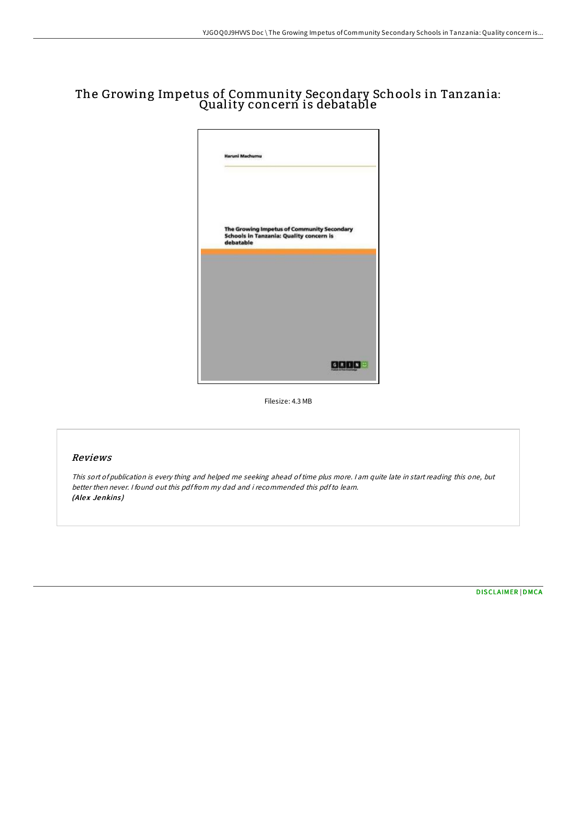## The Growing Impetus of Community Secondary Schools in Tanzania: Quality concern is debatable



Filesize: 4.3 MB

## Reviews

This sort of publication is every thing and helped me seeking ahead oftime plus more. <sup>I</sup> am quite late in start reading this one, but better then never. I found out this pdf from my dad and i recommended this pdfto learn. (Alex Jenkins)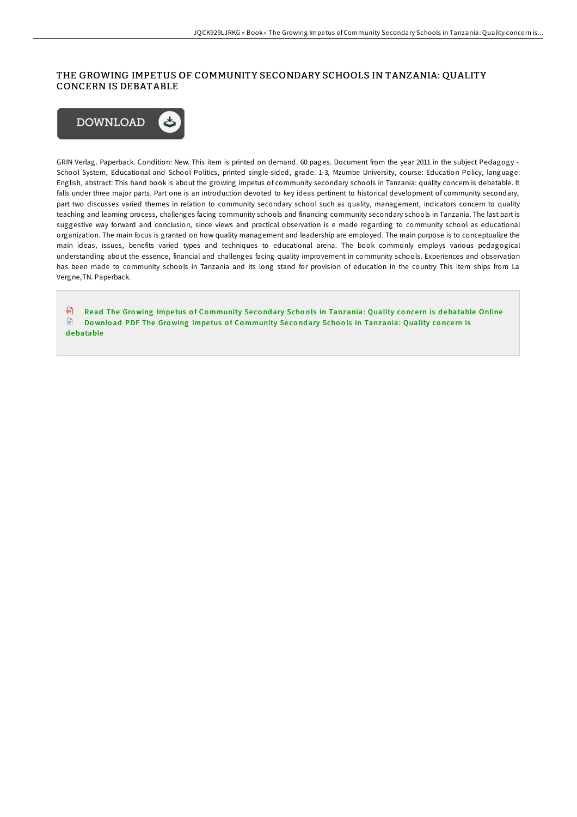## THE GROWING IMPETUS OF COMMUNITY SECONDARY SCHOOLS IN TANZANIA: QUALITY CONCERN IS DEBATABLE



GRIN Verlag. Paperback. Condition: New. This item is printed on demand. 60 pages. Document from the year 2011 in the subject Pedagogy - School System, Educational and School Politics, printed single-sided, grade: 1-3, Mzumbe University, course: Education Policy, language: English, abstract: This hand book is about the growing impetus of community secondary schools in Tanzania: quality concern is debatable. It falls under three major parts. Part one is an introduction devoted to key ideas pertinent to historical development of community secondary, part two discusses varied themes in relation to community secondary school such as quality, management, indicators concern to quality teaching and learning process, challenges facing community schools and financing community secondary schools in Tanzania. The last part is suggestive way forward and conclusion, since views and practical observation is e made regarding to community school as educational organization. The main focus is granted on how quality management and leadership are employed. The main purpose is to conceptualize the main ideas, issues, benefits varied types and techniques to educational arena. The book commonly employs various pedagogical understanding about the essence, financial and challenges facing quality improvement in community schools. Experiences and observation has been made to community schools in Tanzania and its long stand for provision of education in the country This item ships from La Vergne,TN. Paperback.

霝 Read The Growing Impetus of Community Secondary Schools in [Tanzania:](http://almighty24.tech/the-growing-impetus-of-community-secondary-schoo.html) Quality concern is debatable Online  $\mathbb{R}$ Download PDF The Growing Impetus of Community Secondary Schools in [Tanzania:](http://almighty24.tech/the-growing-impetus-of-community-secondary-schoo.html) Quality concern is d ebatable